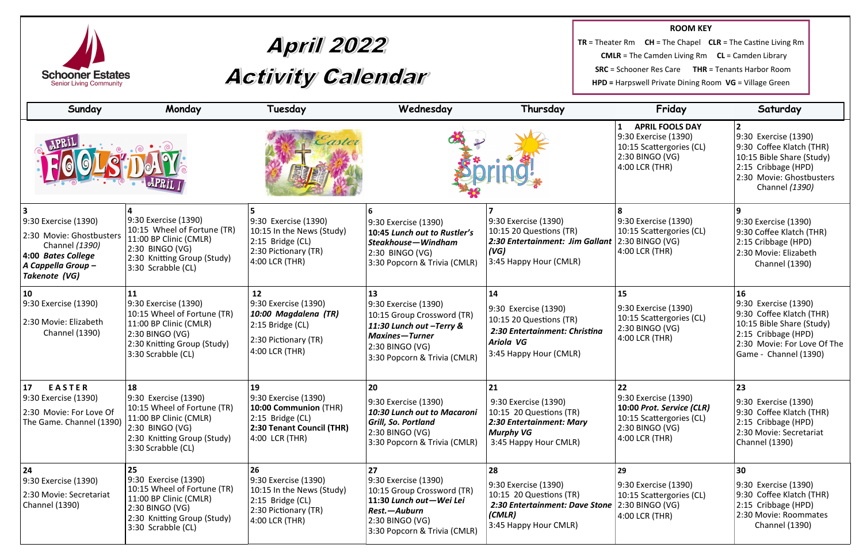

# April 2022<br>Activity Calendar

**TR** = Theater Rm **CMLR** = Th **SRC** = Schoo **HPD = Harps** 

| <b>ROOM KEY</b>                                      |  |  |  |  |  |  |
|------------------------------------------------------|--|--|--|--|--|--|
| <b>CH</b> = The Chapel $CLR = The$ Castine Living Rm |  |  |  |  |  |  |
|                                                      |  |  |  |  |  |  |
| oner Res Care THR = Tenants Harbor Room              |  |  |  |  |  |  |
| swell Private Dining Room VG = Village Green         |  |  |  |  |  |  |

÷

| Sunday                                                                                                                         | Monday                                                                                                                                                      | Tuesday                                                                                                                  | Wednesday                                                                                                                                                  | Thursday                                                                                                                             | Friday                                                                                                                   | Saturday                                                                                                                                                           |
|--------------------------------------------------------------------------------------------------------------------------------|-------------------------------------------------------------------------------------------------------------------------------------------------------------|--------------------------------------------------------------------------------------------------------------------------|------------------------------------------------------------------------------------------------------------------------------------------------------------|--------------------------------------------------------------------------------------------------------------------------------------|--------------------------------------------------------------------------------------------------------------------------|--------------------------------------------------------------------------------------------------------------------------------------------------------------------|
|                                                                                                                                |                                                                                                                                                             | aster                                                                                                                    |                                                                                                                                                            |                                                                                                                                      | <b>APRIL FOOLS DAY</b><br>9:30 Exercise (1390)<br>10:15 Scattergories (CL)<br>2:30 BINGO (VG)<br>4:00 LCR (THR)          | 9:30 Exercise (1390)<br>9:30 Coffee Klatch (THR)<br>10:15 Bible Share (Study)<br>2:15 Cribbage (HPD)<br>2:30 Movie: Ghostbusters<br>Channel (1390)                 |
| 9:30 Exercise (1390)<br>2:30 Movie: Ghostbusters<br>Channel (1390)<br>4:00 Bates College<br>A Cappella Group-<br>Takenote (VG) | 9:30 Exercise (1390)<br>10:15 Wheel of Fortune (TR)<br>11:00 BP Clinic (CMLR)<br>2:30 BINGO (VG)<br>2:30 Knitting Group (Study)<br>3:30 Scrabble (CL)       | 9:30 Exercise (1390)<br>10:15 In the News (Study)<br>$2:15$ Bridge (CL)<br>2:30 Pictionary (TR)<br>4:00 LCR (THR)        | 9:30 Exercise (1390)<br>10:45 Lunch out to Rustler's<br>Steakhouse-Windham<br>2:30 BINGO (VG)<br>3:30 Popcorn & Trivia (CMLR)                              | 9:30 Exercise (1390)<br>10:15 20 Questions (TR)<br>2:30 Entertainment: Jim Gallant<br>(VG)<br>3:45 Happy Hour (CMLR)                 | 9:30 Exercise (1390)<br>10:15 Scattergories (CL)<br>2:30 BINGO (VG)<br>4:00 LCR (THR)                                    | 9:30 Exercise (1390)<br>9:30 Coffee Klatch (THR)<br>2:15 Cribbage (HPD)<br>2:30 Movie: Elizabeth<br><b>Channel (1390)</b>                                          |
| 10<br>9:30 Exercise (1390)<br>2:30 Movie: Elizabeth<br><b>Channel (1390)</b>                                                   | 11<br>9:30 Exercise (1390)<br>10:15 Wheel of Fortune (TR)<br>11:00 BP Clinic (CMLR)<br>2:30 BINGO (VG)<br>2:30 Knitting Group (Study)<br>3:30 Scrabble (CL) | 12<br>9:30 Exercise (1390)<br>10:00 Magdalena (TR)<br>$2:15$ Bridge (CL)<br>2:30 Pictionary (TR)<br>4:00 LCR (THR)       | 9:30 Exercise (1390)<br>10:15 Group Crossword (TR)<br>11:30 Lunch out -Terry &<br><b>Maxines-Turner</b><br>2:30 BINGO (VG)<br>3:30 Popcorn & Trivia (CMLR) | 14<br>9:30 Exercise (1390)<br>10:15 20 Questions (TR)<br>2:30 Entertainment: Christina<br><b>Ariola VG</b><br>3:45 Happy Hour (CMLR) | 15<br>9:30 Exercise (1390)<br>10:15 Scattergories (CL)<br>2:30 BINGO (VG)<br>4:00 LCR (THR)                              | 16<br>9:30 Exercise (1390)<br>9:30 Coffee Klatch (THR)<br>10:15 Bible Share (Study)<br>2:15 Cribbage (HPD)<br>2:30 Movie: For Love Of The<br>Game - Channel (1390) |
| 17<br><b>EASTER</b><br>9:30 Exercise (1390)<br>2:30 Movie: For Love Of<br>The Game. Channel (1390)                             | 18<br>9:30 Exercise (1390)<br>10:15 Wheel of Fortune (TR)<br>11:00 BP Clinic (CMLR)<br>2:30 BINGO (VG)<br>2:30 Knitting Group (Study)<br>3:30 Scrabble (CL) | 19<br>9:30 Exercise (1390)<br>10:00 Communion (THR)<br>$2:15$ Bridge (CL)<br>2:30 Tenant Council (THR)<br>4:00 LCR (THR) | 20<br>9:30 Exercise (1390)<br>10:30 Lunch out to Macaroni<br><b>Grill, So. Portland</b><br>2:30 BINGO (VG)<br>3:30 Popcorn & Trivia (CMLR)                 | 21<br>9:30 Exercise (1390)<br>10:15 20 Questions (TR)<br>2:30 Entertainment: Mary<br><b>Murphy VG</b><br>3:45 Happy Hour CMLR)       | 22<br>9:30 Exercise (1390)<br>10:00 Prot. Service (CLR)<br>10:15 Scattergories (CL)<br>2:30 BINGO (VG)<br>4:00 LCR (THR) | 23<br>9:30 Exercise (1390)<br>9:30 Coffee Klatch (THR)<br>2:15 Cribbage (HPD)<br>2:30 Movie: Secretariat<br>Channel (1390)                                         |
| 24<br>9:30 Exercise (1390)<br>2:30 Movie: Secretariat<br><b>Channel (1390)</b>                                                 | 25<br>9:30 Exercise (1390)<br>10:15 Wheel of Fortune (TR)<br>11:00 BP Clinic (CMLR)<br>2:30 BINGO (VG)<br>2:30 Knitting Group (Study)<br>3:30 Scrabble (CL) | 26<br>9:30 Exercise (1390)<br>10:15 In the News (Study)<br>$2:15$ Bridge (CL)<br>2:30 Pictionary (TR)<br>4:00 LCR (THR)  | 27<br>9:30 Exercise (1390)<br>10:15 Group Crossword (TR)<br>11:30 Lunch out-Wei Lei<br>Rest. - Auburn<br>2:30 BINGO (VG)<br>3:30 Popcorn & Trivia (CMLR)   | 28<br>9:30 Exercise (1390)<br>10:15 20 Questions (TR)<br>2:30 Entertainment: Dave Stone<br>(CMLR)<br>3:45 Happy Hour CMLR)           | 29<br>9:30 Exercise (1390)<br>10:15 Scattergories (CL)<br>2:30 BINGO (VG)<br>4:00 LCR (THR)                              | 30<br>9:30 Exercise (1390)<br>9:30 Coffee Klatch (THR)<br>2:15 Cribbage (HPD)<br>2:30 Movie: Roommates<br><b>Channel (1390)</b>                                    |